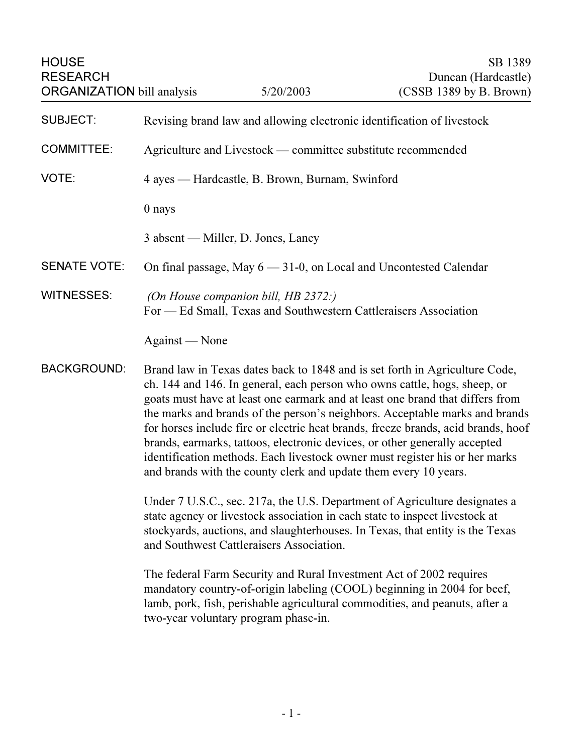| <b>HOUSE</b><br><b>RESEARCH</b><br><b>ORGANIZATION</b> bill analysis                                                                                                                                                                                                                                                                                                                                                                                                                                                                                                                                                                                                 |                                                                                                         | 5/20/2003 | SB 1389<br>Duncan (Hardcastle)<br>$(CSSB 1389$ by B. Brown)                                                                                                                                                                                |  |
|----------------------------------------------------------------------------------------------------------------------------------------------------------------------------------------------------------------------------------------------------------------------------------------------------------------------------------------------------------------------------------------------------------------------------------------------------------------------------------------------------------------------------------------------------------------------------------------------------------------------------------------------------------------------|---------------------------------------------------------------------------------------------------------|-----------|--------------------------------------------------------------------------------------------------------------------------------------------------------------------------------------------------------------------------------------------|--|
| <b>SUBJECT:</b>                                                                                                                                                                                                                                                                                                                                                                                                                                                                                                                                                                                                                                                      | Revising brand law and allowing electronic identification of livestock                                  |           |                                                                                                                                                                                                                                            |  |
| <b>COMMITTEE:</b>                                                                                                                                                                                                                                                                                                                                                                                                                                                                                                                                                                                                                                                    | Agriculture and Livestock — committee substitute recommended                                            |           |                                                                                                                                                                                                                                            |  |
| VOTE:                                                                                                                                                                                                                                                                                                                                                                                                                                                                                                                                                                                                                                                                | 4 ayes — Hardcastle, B. Brown, Burnam, Swinford                                                         |           |                                                                                                                                                                                                                                            |  |
|                                                                                                                                                                                                                                                                                                                                                                                                                                                                                                                                                                                                                                                                      | 0 nays                                                                                                  |           |                                                                                                                                                                                                                                            |  |
|                                                                                                                                                                                                                                                                                                                                                                                                                                                                                                                                                                                                                                                                      | 3 absent — Miller, D. Jones, Laney                                                                      |           |                                                                                                                                                                                                                                            |  |
| <b>SENATE VOTE:</b>                                                                                                                                                                                                                                                                                                                                                                                                                                                                                                                                                                                                                                                  | On final passage, May 6 - 31-0, on Local and Uncontested Calendar                                       |           |                                                                                                                                                                                                                                            |  |
| <b>WITNESSES:</b>                                                                                                                                                                                                                                                                                                                                                                                                                                                                                                                                                                                                                                                    | (On House companion bill, HB 2372:)<br>For — Ed Small, Texas and Southwestern Cattleraisers Association |           |                                                                                                                                                                                                                                            |  |
|                                                                                                                                                                                                                                                                                                                                                                                                                                                                                                                                                                                                                                                                      | Against — None                                                                                          |           |                                                                                                                                                                                                                                            |  |
| <b>BACKGROUND:</b><br>Brand law in Texas dates back to 1848 and is set forth in Agriculture Code,<br>ch. 144 and 146. In general, each person who owns cattle, hogs, sheep, or<br>goats must have at least one earmark and at least one brand that differs from<br>the marks and brands of the person's neighbors. Acceptable marks and brands<br>for horses include fire or electric heat brands, freeze brands, acid brands, hoof<br>brands, earmarks, tattoos, electronic devices, or other generally accepted<br>identification methods. Each livestock owner must register his or her marks<br>and brands with the county clerk and update them every 10 years. |                                                                                                         |           |                                                                                                                                                                                                                                            |  |
|                                                                                                                                                                                                                                                                                                                                                                                                                                                                                                                                                                                                                                                                      | and Southwest Cattleraisers Association.                                                                |           | Under 7 U.S.C., sec. 217a, the U.S. Department of Agriculture designates a<br>state agency or livestock association in each state to inspect livestock at<br>stockyards, auctions, and slaughterhouses. In Texas, that entity is the Texas |  |
|                                                                                                                                                                                                                                                                                                                                                                                                                                                                                                                                                                                                                                                                      | two-year voluntary program phase-in.                                                                    |           | The federal Farm Security and Rural Investment Act of 2002 requires<br>mandatory country-of-origin labeling (COOL) beginning in 2004 for beef,<br>lamb, pork, fish, perishable agricultural commodities, and peanuts, after a              |  |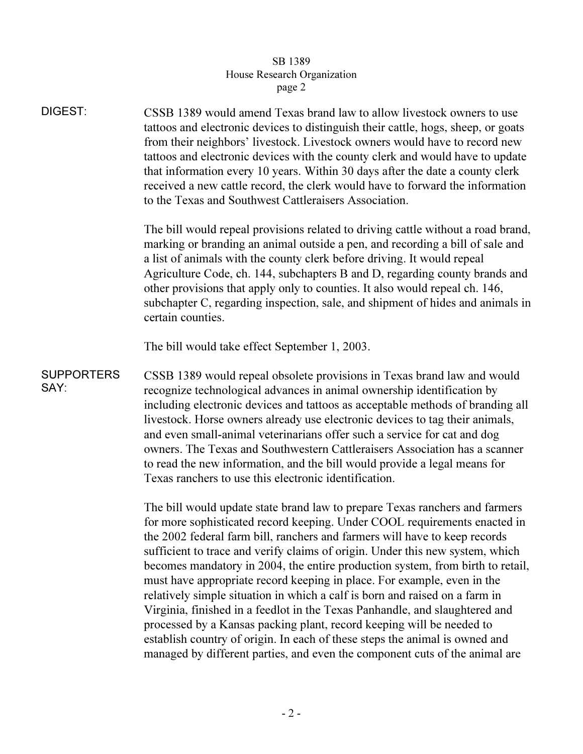## $\overline{\mathsf{B}}$  1389  $\overline{\mathsf{O}}$ r  $\frac{1}{\sqrt{1-\frac{1}{\sqrt{1-\frac{1}{\sqrt{1-\frac{1}{\sqrt{1-\frac{1}{\sqrt{1-\frac{1}{\sqrt{1-\frac{1}{\sqrt{1-\frac{1}{\sqrt{1-\frac{1}{\sqrt{1-\frac{1}{\sqrt{1-\frac{1}{\sqrt{1-\frac{1}{\sqrt{1-\frac{1}{\sqrt{1-\frac{1}{\sqrt{1-\frac{1}{\sqrt{1-\frac{1}{\sqrt{1-\frac{1}{\sqrt{1-\frac{1}{\sqrt{1-\frac{1}{\sqrt{1-\frac{1}{\sqrt{1-\frac{1}{\sqrt{1-\frac{1}{\sqrt{1-\frac{1}{\sqrt{1-\frac{1}{\sqrt{1-\frac{1$ page 2

| <b>DIGEST:</b>            | CSSB 1389 would amend Texas brand law to allow livestock owners to use<br>tattoos and electronic devices to distinguish their cattle, hogs, sheep, or goats<br>from their neighbors' livestock. Livestock owners would have to record new<br>tattoos and electronic devices with the county clerk and would have to update<br>that information every 10 years. Within 30 days after the date a county clerk<br>received a new cattle record, the clerk would have to forward the information<br>to the Texas and Southwest Cattleraisers Association.                                                                                                                                                                                                                                                      |  |  |
|---------------------------|------------------------------------------------------------------------------------------------------------------------------------------------------------------------------------------------------------------------------------------------------------------------------------------------------------------------------------------------------------------------------------------------------------------------------------------------------------------------------------------------------------------------------------------------------------------------------------------------------------------------------------------------------------------------------------------------------------------------------------------------------------------------------------------------------------|--|--|
|                           | The bill would repeal provisions related to driving cattle without a road brand,<br>marking or branding an animal outside a pen, and recording a bill of sale and<br>a list of animals with the county clerk before driving. It would repeal<br>Agriculture Code, ch. 144, subchapters B and D, regarding county brands and<br>other provisions that apply only to counties. It also would repeal ch. 146,<br>subchapter C, regarding inspection, sale, and shipment of hides and animals in<br>certain counties.                                                                                                                                                                                                                                                                                          |  |  |
|                           | The bill would take effect September 1, 2003.                                                                                                                                                                                                                                                                                                                                                                                                                                                                                                                                                                                                                                                                                                                                                              |  |  |
| <b>SUPPORTERS</b><br>SAY: | CSSB 1389 would repeal obsolete provisions in Texas brand law and would<br>recognize technological advances in animal ownership identification by<br>including electronic devices and tattoos as acceptable methods of branding all<br>livestock. Horse owners already use electronic devices to tag their animals,<br>and even small-animal veterinarians offer such a service for cat and dog<br>owners. The Texas and Southwestern Cattleraisers Association has a scanner<br>to read the new information, and the bill would provide a legal means for<br>Texas ranchers to use this electronic identification.                                                                                                                                                                                        |  |  |
|                           | The bill would update state brand law to prepare Texas ranchers and farmers<br>for more sophisticated record keeping. Under COOL requirements enacted in<br>the 2002 federal farm bill, ranchers and farmers will have to keep records<br>sufficient to trace and verify claims of origin. Under this new system, which<br>becomes mandatory in 2004, the entire production system, from birth to retail,<br>must have appropriate record keeping in place. For example, even in the<br>relatively simple situation in which a calf is born and raised on a farm in<br>Virginia, finished in a feedlot in the Texas Panhandle, and slaughtered and<br>processed by a Kansas packing plant, record keeping will be needed to<br>establish country of origin. In each of these steps the animal is owned and |  |  |

managed by different parties, and even the component cuts of the animal are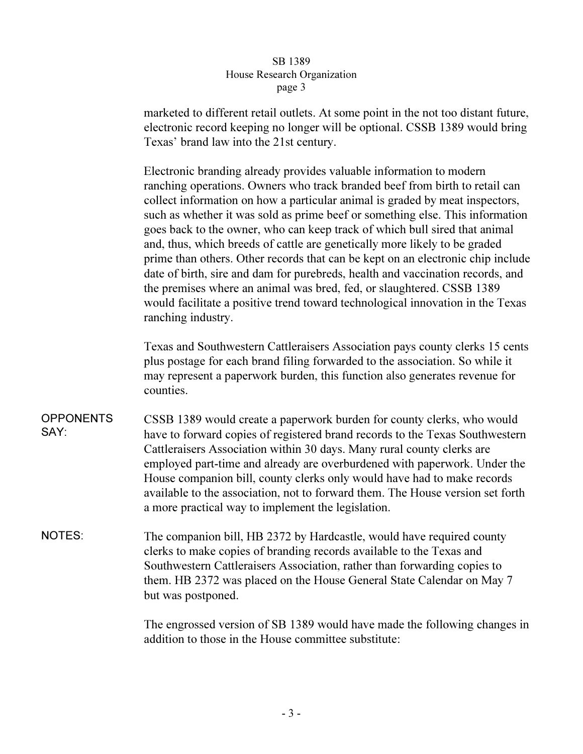## SB 1389 House Research Organization page 3  $\mathbf{r}$   $\mathbf{r}$   $\mathbf{s}$   $\mathbf{r}$   $\mathbf{s}$

marketed to different retail outlets. At some point in the not too distant future, electronic record keeping no longer will be optional. CSSB 1389 would bring Texas' brand law into the 21st century.

Electronic branding already provides valuable information to modern ranching operations. Owners who track branded beef from birth to retail can collect information on how a particular animal is graded by meat inspectors, such as whether it was sold as prime beef or something else. This information goes back to the owner, who can keep track of which bull sired that animal and, thus, which breeds of cattle are genetically more likely to be graded prime than others. Other records that can be kept on an electronic chip include date of birth, sire and dam for purebreds, health and vaccination records, and the premises where an animal was bred, fed, or slaughtered. CSSB 1389 would facilitate a positive trend toward technological innovation in the Texas ranching industry.

Texas and Southwestern Cattleraisers Association pays county clerks 15 cents plus postage for each brand filing forwarded to the association. So while it may represent a paperwork burden, this function also generates revenue for counties.

- **OPPONENTS** SAY: CSSB 1389 would create a paperwork burden for county clerks, who would have to forward copies of registered brand records to the Texas Southwestern Cattleraisers Association within 30 days. Many rural county clerks are employed part-time and already are overburdened with paperwork. Under the House companion bill, county clerks only would have had to make records available to the association, not to forward them. The House version set forth a more practical way to implement the legislation.
- NOTES: The companion bill, HB 2372 by Hardcastle, would have required county clerks to make copies of branding records available to the Texas and Southwestern Cattleraisers Association, rather than forwarding copies to them. HB 2372 was placed on the House General State Calendar on May 7 but was postponed.

The engrossed version of SB 1389 would have made the following changes in addition to those in the House committee substitute: